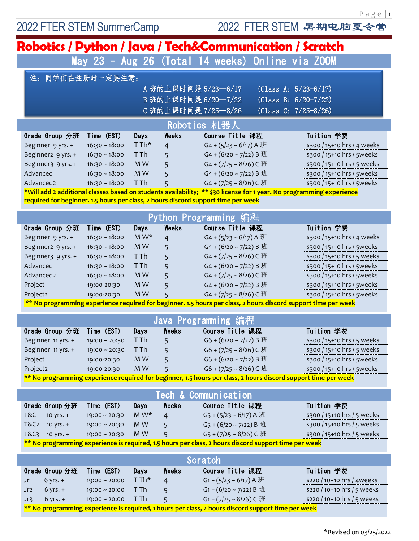P a g e | **1**

| Robotics / Python / Java / Tech&Communication / Scratch                                                              |                    |         |                |                                                                                                                |                             |
|----------------------------------------------------------------------------------------------------------------------|--------------------|---------|----------------|----------------------------------------------------------------------------------------------------------------|-----------------------------|
| May 23 - Aug 26 (Total 14 weeks) Online via ZOOM                                                                     |                    |         |                |                                                                                                                |                             |
| 同学们在注册时一定要注意:<br>注:                                                                                                  |                    |         |                |                                                                                                                |                             |
|                                                                                                                      |                    |         |                | A 班的上课时间是 5/23-6/17                                                                                            | (Class A: $5/23-6/17$ )     |
|                                                                                                                      |                    |         |                | B班的上课时间是 6/20-7/22                                                                                             | (Class B: $6/20-7/22$ )     |
|                                                                                                                      |                    |         |                | C班的上课时间是 7/25-8/26                                                                                             | (Class C: $7/25-8/26$ )     |
| Robotics 机器人                                                                                                         |                    |         |                |                                                                                                                |                             |
| Grade Group 分班                                                                                                       | Time (EST)         | Days    | Weeks          | <b>Course Title 课程</b>                                                                                         | Tuition 学费                  |
| Beginner 9 yrs. +                                                                                                    | $16:30 - 18:00$    | T Th*   | $\overline{4}$ | G <sub>4</sub> + (5/23 ~ 6/17) A 班                                                                             | \$300 / 15+10 hrs / 4 weeks |
| Beginner2 9 yrs. +                                                                                                   | $16:30 - 18:00$    | T Th    | 5              | G <sub>4</sub> + (6/20 ~ 7/22) B 班                                                                             | \$300 / 15+10 hrs / 5weeks  |
| Beginner3 9 yrs. +                                                                                                   | $16:30 - 18:00$    | M W     | 5              | G <sub>4</sub> + $(7/25 \sim 8/26)$ C 班                                                                        | \$300 / 15+10 hrs / 5 weeks |
| Advanced                                                                                                             | $16:30 - 18:00$    | M W     | 5              | G <sub>4</sub> + (6/20 ~ 7/22) B 班                                                                             | \$300 / 15+10 hrs / 5weeks  |
| Advanced2                                                                                                            | $16:30 - 18:00$    | T Th    |                | G <sub>4</sub> + $(7/25 - 8/26)$ C <sub>II</sub>                                                               | \$300 / 15+10 hrs / 5weeks  |
| *Will add 2 additional classes based on students availability; ** \$30 license for 1 year. No programming experience |                    |         |                |                                                                                                                |                             |
| required for beginner. 1.5 hours per class, 2 hours discord support time per week                                    |                    |         |                |                                                                                                                |                             |
|                                                                                                                      |                    |         |                | Python Programming 编程                                                                                          |                             |
| Grade Group 分班                                                                                                       | Time (EST)         | Days    | Weeks          | Course Title 课程                                                                                                | Tuition 学费                  |
| Beginner 9 yrs. +                                                                                                    | $16:30 - 18:00$    | $M W^*$ | 4              | G <sub>4</sub> + ( $5/23$ ~ 6/17) A 班                                                                          | \$300 / 15+10 hrs / 4 weeks |
| Beginner2 9 yrs. +                                                                                                   | $16:30 - 18:00$    | M W     | 5              | G <sub>4</sub> + (6/20 ~ 7/22) B 班                                                                             | \$300 / 15+10 hrs / 5weeks  |
| Beginner3 9 yrs. +                                                                                                   | $16:30 - 18:00$    | T Th    | 5              | G <sub>4</sub> + $(7/25 \approx 8/26)$ C <sub>III</sub>                                                        | \$300 / 15+10 hrs / 5 weeks |
| Advanced                                                                                                             | $16:30 - 18:00$    | T Th    | 5              | G <sub>4</sub> + (6/20 ~ 7/22) B 班                                                                             | \$300 / 15+10 hrs / 5weeks  |
| Advanced2                                                                                                            | $16:30 - 18:00$    | M W     | 5              | G <sub>4</sub> + $(7/25 - 8/26)$ C 班                                                                           | \$300 / 15+10 hrs / 5weeks  |
| Project                                                                                                              | 19:00-20:30        | M W     | 5              | G <sub>4</sub> + (6/20 ~ 7/22) B 班                                                                             | \$300 / 15+10 hrs / 5weeks  |
| Project2                                                                                                             | 19:00-20:30        | M W     |                | G <sub>4</sub> + $(7/25 - 8/26)$ C 班                                                                           | \$300 / 15+10 hrs / 5weeks  |
| ** No programming experience required for beginner. 1.5 hours per class, 2 hours discord support time per week       |                    |         |                |                                                                                                                |                             |
| <b>Java Programming</b> 编程                                                                                           |                    |         |                |                                                                                                                |                             |
| Grade Group 分班                                                                                                       | Time (EST)         | Days    | Weeks          | Course Title 课程                                                                                                | Tuition 学费                  |
| Beginner 11 yrs. + 19:00 ~ 20:30                                                                                     |                    | T Th    | 5              | G6 + $(6/20 \sim 7/22)$ B $\frac{1}{2}$                                                                        | \$300 / 15+10 hrs / 5 weeks |
| Beginner 11 yrs. +                                                                                                   | $19:00 \sim 20:30$ | T Th    | 5              | G6 + $(7/25 \approx 8/26)$ C $\frac{1}{2}$                                                                     | \$300 / 15+10 hrs / 5 weeks |
| Project                                                                                                              | 19:00-20:30        | M W     | 5              | G6 + (6/20 ~ 7/22) B 班                                                                                         | \$300 / 15+10 hrs / 5weeks  |
| Project2                                                                                                             | 19:00-20:30        | M W     | 5              | G6 + $(7/25 \approx 8/26)$ C $\frac{1}{2}$                                                                     | \$300 / 15+10 hrs / 5weeks  |
|                                                                                                                      |                    |         |                | ** No programming experience required for beginner, 1.5 hours per class, 2 hours discord support time per week |                             |
| Tech & Communication                                                                                                 |                    |         |                |                                                                                                                |                             |
| Grade Group 分班                                                                                                       | Time (EST)         | Days    | Weeks          | Course Title 课程                                                                                                | Tuition 学费                  |
| T&C<br>10 yrs. $+$                                                                                                   | 19:00 ~ 20:30      | $M W^*$ | $\overline{4}$ | G <sub>5</sub> + ( $5/23$ ~ 6/17) A 班                                                                          | \$300 / 15+10 hrs / 5 weeks |
| T&C <sub>2</sub><br>10 yrs. $+$                                                                                      | $19:00 - 20:30$    | M W     | 5 <sup>5</sup> | G <sub>5</sub> + (6/20 ~ 7/22) B 班                                                                             | \$300 / 15+10 hrs / 5 weeks |
| 10 yrs. $+$<br>T&C <sub>3</sub>                                                                                      | $19:00 \sim 20:30$ | M W     | 5              | G <sub>5</sub> + $(7/25 \sim 8/26)$ C 班                                                                        | \$300 / 15+10 hrs / 5 weeks |
|                                                                                                                      |                    |         |                |                                                                                                                |                             |
| ** No programming experience is required, 1.5 hours per class, 2 hours discord support time per week                 |                    |         |                |                                                                                                                |                             |
| Scratch                                                                                                              |                    |         |                |                                                                                                                |                             |
| Grade Group 分班                                                                                                       | Time (EST)         | Days    | Weeks          | Course Title 课程                                                                                                | Tuition 学费                  |
| $6$ yrs. $+$<br>Jr                                                                                                   | $19:00 - 20:00$    | T Th*   | $\overline{4}$ | G <sub>1</sub> + $(5/23 - 6/17)$ A 班                                                                           | \$220 / 10+10 hrs / 4weeks  |
| $6$ yrs. $+$<br>Jr <sub>2</sub>                                                                                      | $19:00 \sim 20:00$ | T Th    | 5              | G1 + $(6/20 - 7/22)$ B $H$                                                                                     | \$220 / 10+10 hrs / 5 weeks |
| $6$ yrs. $+$<br>Jr <sub>3</sub>                                                                                      | $19:00 \sim 20:00$ | T Th    | 5              | G1+(7/25 ~ 8/26) C 班                                                                                           | \$220 / 10+10 hrs / 5 weeks |
| ** No programming experience is required, 1 hours per class, 2 hours discord support time per week                   |                    |         |                |                                                                                                                |                             |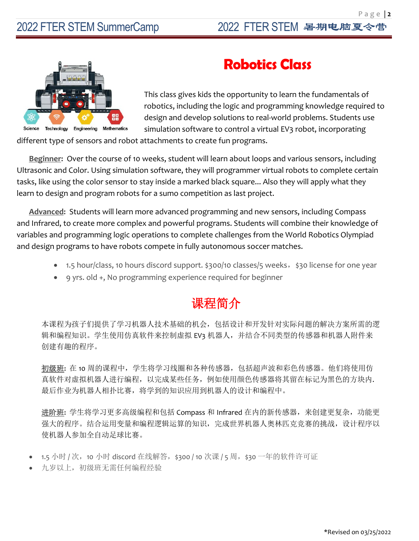P a g e | **2**



# **Robotics Class**

This class gives kids the opportunity to learn the fundamentals of robotics, including the logic and programming knowledge required to design and develop solutions to real-world problems. Students use simulation software to control a virtual EV3 robot, incorporating

different type of sensors and robot attachments to create fun programs.

**Beginner:** Over the course of 10 weeks, student will learn about loops and various sensors, including Ultrasonic and Color. Using simulation software, they will programmer virtual robots to complete certain tasks, like using the color sensor to stay inside a marked black square... Also they will apply what they learn to design and program robots for a sumo competition as last project.

**Advanced:** Students will learn more advanced programming and new sensors, including Compass and Infrared, to create more complex and powerful programs. Students will combine their knowledge of variables and programming logic operations to complete challenges from the World Robotics Olympiad and design programs to have robots compete in fully autonomous soccer matches.

- 1.5 hour/class, 10 hours discord support. \$300/10 classes/5 weeks, \$30 license for one year
- 9 yrs. old +, No programming experience required for beginner

#### 课程简介

本课程为孩子们提供了学习机器人技术基础的机会,包括设计和开发针对实际问题的解决方案所需的逻 辑和编程知识。学生使用仿真软件来控制虚拟 EV3 机器人,并结合不同类型的传感器和机器人附件来 创建有趣的程序。

初级班**:** 在 10 周的课程中,学生将学习线圈和各种传感器,包括超声波和彩色传感器。他们将使用仿 真软件对虚拟机器人进行编程,以完成某些任务,例如使用颜色传感器将其留在标记为黑色的方块内. 最后作业为机器人相扑比赛,将学到的知识应用到机器人的设计和编程中。

进阶班**:** 学生将学习更多高级编程和包括 Compass 和 Infrared 在内的新传感器,来创建更复杂,功能更 强大的程序。结合运用变量和编程逻辑运算的知识,完成世界机器人奥林匹克竞赛的挑战,设计程序以 使机器人参加全自动足球比赛。

- 1.5 小时 / 次, 10 小时 discord 在线解答, \$300 / 10 次课 / 5 周, \$30 一年的软件许可证
- 九岁以上,初级班无需任何编程经验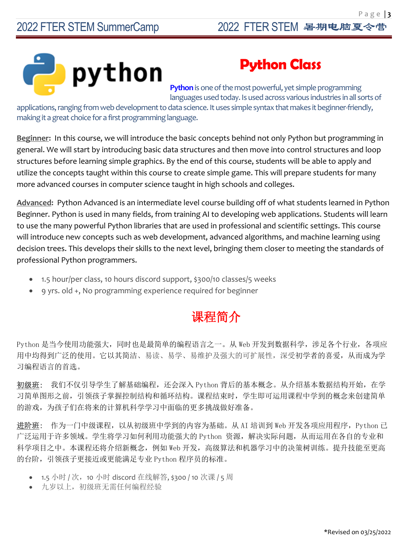

### **Python Class**

**Python**is one of the most powerful, yet simple programming languages used today. Is used across various industries in all sorts of

applications, ranging from web development to data science. It uses simple syntax that makes it beginner-friendly, making it a great choice for a first programming language.

**Beginner:** In this course, we will introduce the basic concepts behind not only Python but programming in general. We will start by introducing basic data structures and then move into control structures and loop structures before learning simple graphics. By the end of this course, students will be able to apply and utilize the concepts taught within this course to create simple game. This will prepare students for many more advanced courses in computer science taught in high schools and colleges.

**Advanced:** Python Advanced is an intermediate level course building off of what students learned in Python Beginner. Python is used in many fields, from training AI to developing web applications. Students will learn to use the many powerful Python libraries that are used in professional and scientific settings. This course will introduce new concepts such as web development, advanced algorithms, and machine learning using decision trees. This develops their skills to the next level, bringing them closer to meeting the standards of professional Python programmers.

- 1.5 hour/per class, 10 hours discord support, \$300/10 classes/5 weeks
- 9 yrs. old +, No programming experience required for beginner

### 课程简介

Python 是当今使用功能强大,同时也是最简单的编程语言之一。从 Web 开发到数据科学,涉足各个行业,各项应 用中均得到广泛的使用。它以其简洁、易读、易学、易维护及强大的可扩展性,深受初学者的喜爱,从而成为学 习编程语言的首选。

初级班: 我们不仅引导学生了解基础编程,还会深入 Python 背后的基本概念。从介绍基本数据结构开始, 在学 习简单图形之前,引领孩子掌握控制结构和循环结构。课程结束时,学生即可运用课程中学到的概念来创建简单 的游戏,为孩子们在将来的计算机科学学习中面临的更多挑战做好准备。

进阶班: 作为一门中级课程, 以从初级班中学到的内容为基础。从 AI 培训到 Web 开发各项应用程序, Python 已 广泛运用于许多领域。学生将学习如何利用功能强大的 Python 资源,解决实际问题,从而运用在各自的专业和 科学项目之中。本课程还将介绍新概念,例如 Web 开发,高级算法和机器学习中的决策树训练。提升技能至更高 的台阶,引领孩子更接近或更能满足专业 Python 程序员的标准。

- 1.5 小时 / 次, 10 小时 discord 在线解答, \$300 / 10 次课 / 5 周
- 九岁以上,初级班无需任何编程经验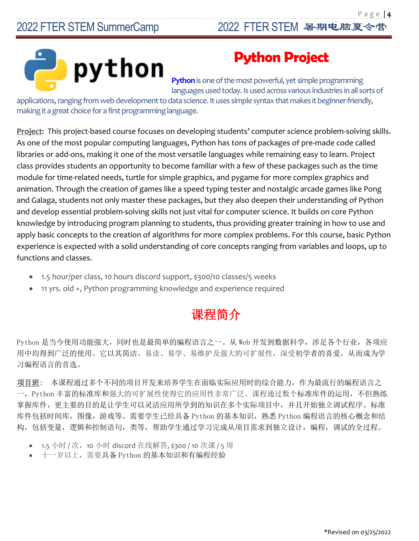

### **Python Project**

**Python**is one of the most powerful, yet simple programming languages used today. Is used across various industries in all sorts of

applications, ranging from web development to data science. It uses simple syntax that makes it beginner-friendly, making it a great choice for a first programming language.

**Project:** This project-based course focuses on developing students' computer science problem-solving skills. As one of the most popular computing languages, Python has tons of packages of pre-made code called libraries or add-ons, making it one of the most versatile languages while remaining easy to learn. Project class provides students an opportunity to become familiar with a few of these packages such as the time module for time-related needs, turtle for simple graphics, and pygame for more complex graphics and animation. Through the creation of games like a speed typing tester and nostalgic arcade games like Pong and Galaga, students not only master these packages, but they also deepen their understanding of Python and develop essential problem-solving skills not just vital for computer science. It builds on core Python knowledge by introducing program planning to students, thus providing greater training in how to use and apply basic concepts to the creation of algorithms for more complex problems. For this course, basic Python experience is expected with a solid understanding of core concepts ranging from variables and loops, up to functions and classes.

- 1.5 hour/per class, 10 hours discord support, \$300/10 classes/5 weeks
- 11 yrs. old +, Python programming knowledge and experience required

## 课程简介

Python 是当今使用功能强大,同时也是最简单的编程语言之一。从 Web 开发到数据科学,涉足各个行业, 各项应 用中均得到广泛的使用。它以其简洁、易读、易学、易维护及强大的可扩展性,深受初学者的喜爱,从而成为学 习编程语言的首选。

项目班: 本课程通过多个不同的项目开发来培养学生在面临实际应用时的综合能力,作为最流行的编程语言之 一,Python 丰富的标准库和强大的可扩展性使得它的应用性非常广泛。课程通过数个标准库件的运用,不但熟练 掌握库件,更主要的目的是让学生可以灵活应用所学到的知识在多个实际项目中,并且开始独立调试程序。标准 库件包括时间库, 图像, 游戏等。需要学生已经具备 Python 的基本知识, 熟悉 Python 编程语言的核心概念和结 构,包括变量,逻辑和控制语句,类等,帮助学生通过学习完成从项目需求到独立设计,编程,调试的全过程。

- 1.5 小时 / 次,10 小时 discord 在线解答, \$300 / 10 次课 / 5 周
- 十一岁以上,需要具备 Python 的基本知识和有编程经验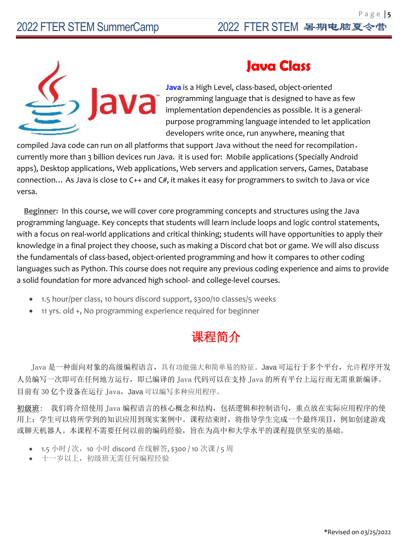

#### **Java Class**

**Java** is a High Level, class-based, object-oriented programming language that is designed to have as few implementation dependencies as possible. It is a generalpurpose programming language intended to let application developers write once, run anywhere, meaning that

compiled Java code can run on all platforms that support Java without the need for recompilation, currently more than 3 billion devices run Java. it is used for: Mobile applications (Specially Android apps), Desktop applications, Web applications, Web servers and application servers, Games, Database connection… As Java is close to C++ and C#, it makes it easy for programmers to switch to Java or vice versa.

**Beginner:** In this course, we will cover core programming concepts and structures using the Java programming language. Key concepts that students will learn include loops and logic control statements, with a focus on real-world applications and critical thinking; students will have opportunities to apply their knowledge in a final project they choose, such as making a Discord chat bot or game. We will also discuss the fundamentals of class-based, object-oriented programming and how it compares to other coding languages such as Python. This course does not require any previous coding experience and aims to provide a solid foundation for more advanced high school- and college-level courses.

- 1.5 hour/per class, 10 hours discord support, \$300/10 classes/5 weeks
- 11 yrs. old +, No programming experience required for beginner

#### 课程简介

Java 是一种面向对象的高级编程语言,具有功能强大和简单易的特征。Java 可运行于多个平台,允许程序开发 人员编写一次即可在任何地方运行,即已编译的 Java 代码可以在支持 Java 的所有平台上运行而无需重新编译。 目前有 30 亿个设备在运行 Java, Java 可以编写多种应用程序。

初级班: 我们将介绍使用 Java 编程语言的核心概念和结构,包括逻辑和控制语句,重点放在实际应用程序的使 用上;学生可以将所学到的知识应用到现实案例中。课程结束时,将指导学生完成一个最终项目,例如创建游戏 或聊天机器人。本课程不需要任何以前的编码经验,旨在为高中和大学水平的课程提供坚实的基础。

- 1.5 小时 / 次, 10 小时 discord 在线解答, \$300 / 10 次课 / 5 周
- 十一岁以上,初级班无需任何编程经验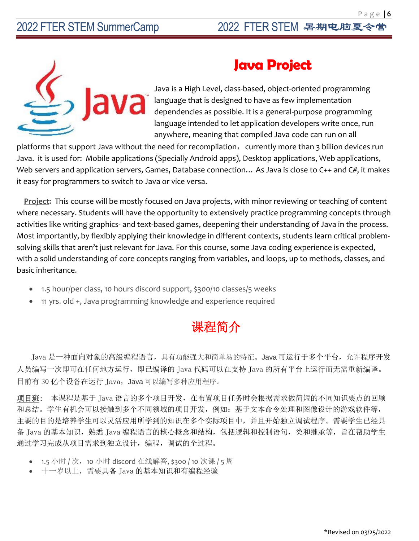

#### **Java Project**

Java is a High Level, class-based, object-oriented programming language that is designed to have as few implementation dependencies as possible. It is a general-purpose programming language intended to let application developers write once, run anywhere, meaning that compiled Java code can run on all

platforms that support Java without the need for recompilation, currently more than 3 billion devices run Java. it is used for: Mobile applications (Specially Android apps), Desktop applications, Web applications, Web servers and application servers, Games, Database connection... As Java is close to C++ and C#, it makes it easy for programmers to switch to Java or vice versa.

**Project:** This course will be mostly focused on Java projects, with minor reviewing or teaching of content where necessary. Students will have the opportunity to extensively practice programming concepts through activities like writing graphics- and text-based games, deepening their understanding of Java in the process. Most importantly, by flexibly applying their knowledge in different contexts, students learn critical problemsolving skills that aren't just relevant for Java. For this course, some Java coding experience is expected, with a solid understanding of core concepts ranging from variables, and loops, up to methods, classes, and basic inheritance.

- 1.5 hour/per class, 10 hours discord support, \$300/10 classes/5 weeks
- 11 yrs. old +, Java programming knowledge and experience required

### 课程简介

Java 是一种面向对象的高级编程语言,具有功能强大和简单易的特征。Java 可运行于多个平台,允许程序开发 人员编写一次即可在任何地方运行,即已编译的 Java 代码可以在支持 Java 的所有平台上运行而无需重新编译。 目前有 30 亿个设备在运行 Java, Java 可以编写多种应用程序。

项目班: 本课程是基于 Java 语言的多个项目开发,在布置项目任务时会根据需求做简短的不同知识要点的回顾 和总结。学生有机会可以接触到多个不同领域的项目开发,例如:基于文本命令处理和图像设计的游戏软件等, 主要的目的是培养学生可以灵活应用所学到的知识在多个实际项目中,并且开始独立调试程序。需要学生已经具 备 Java 的基本知识,熟悉 Java 编程语言的核心概念和结构,包括逻辑和控制语句,类和继承等,旨在帮助学生 通过学习完成从项目需求到独立设计,编程,调试的全过程。

- 1.5 小时 / 次, 10 小时 discord 在线解答, \$300 / 10 次课 / 5 周
- 十一岁以上,需要具备 Java 的基本知识和有编程经验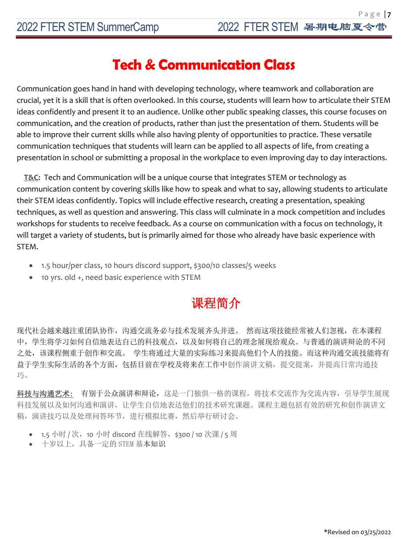#### **Tech & Communication Class**

Communication goes hand in hand with developing technology, where teamwork and collaboration are crucial, yet it is a skill that is often overlooked. In this course, students will learn how to articulate their STEM ideas confidently and present it to an audience. Unlike other public speaking classes, this course focuses on communication, and the creation of products, rather than just the presentation of them. Students will be able to improve their current skills while also having plenty of opportunities to practice. These versatile communication techniques that students will learn can be applied to all aspects of life, from creating a presentation in school or submitting a proposal in the workplace to even improving day to day interactions.

**T&C:** Tech and Communication will be a unique course that integrates STEM or technology as communication content by covering skills like how to speak and what to say, allowing students to articulate their STEM ideas confidently. Topics will include effective research, creating a presentation, speaking techniques, as well as question and answering. This class will culminate in a mock competition and includes workshops for students to receive feedback. As a course on communication with a focus on technology, it will target a variety of students, but is primarily aimed for those who already have basic experience with STEM.

- 1.5 hour/per class, 10 hours discord support, \$300/10 classes/5 weeks
- 10 yrs. old +, need basic experience with STEM

### 课程简介

现代社会越来越注重团队协作,沟通交流务必与技术发展齐头并进。 然而这项技能经常被人们忽视,在本课程 中,学生将学习如何自信地表达自己的科技观点,以及如何将自己的理念展现给观众。与普通的演讲辩论的不同 之处,该课程侧重于创作和交流。 学生将通过大量的实际练习来提高他们个人的技能。而这种沟通交流技能将有 益于学生实际生活的各个方面,包括目前在学校及将来在工作中创作演讲文稿,提交提案,并提高日常沟通技 巧。

科技与沟通艺术: 有别于公众演讲和辩论,这是一门独俱一格的课程,将技术交流作为交流内容,引导学生展现 科技发展以及如何沟通和演讲,让学生自信地表达他们的技术研究课题。课程主题包括有效的研究和创作演讲文 稿,演讲技巧以及处理问答环节,进行模拟比赛,然后举行研讨会。

- 1.5 小时 / 次,10 小时 discord 在线解答, \$300 / 10 次课 / 5 周
- 十岁以上,具备一定的 STEM 基本知识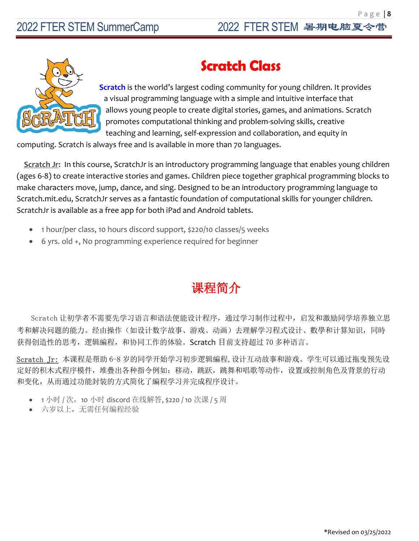

## **Scratch Class**

 **Scratch** is the world's largest coding community for young children. It provides a visual programming language with a simple and intuitive interface that allows young people to create digital stories, games, and animations. Scratch promotes computational thinking and problem-solving skills, creative teaching and learning, self-expression and collaboration, and equity in

computing. Scratch is always free and is available in more than 70 languages.

**Scratch Jr:** In this course, ScratchJr is an introductory programming language that enables young children (ages 6-8) to create interactive stories and games. Children piece together graphical programming blocks to make characters move, jump, dance, and sing. Designed to be an introductory programming language to Scratch.mit.edu, ScratchJr serves as a fantastic foundation of computational skills for younger children. ScratchJr is available as a free app for both iPad and Android tablets.

- 1 hour/per class, 10 hours discord support, \$220/10 classes/5 weeks
- 6 yrs. old +, No programming experience required for beginner

#### 课程简介

Scratch 让初学者不需要先学习语言和语法便能设计程序,通过学习制作过程中,启发和激励同学培养独立思 考和解决问题的能力。经由操作(如设计数字故事、游戏、动画)去理解学习程式设计、數學和计算知识,同時 获得创造性的思考,逻辑編程,和协同工作的体验。Scratch 目前支持超过 70 多种语言。

Scratch Jr: 本课程是帮助 6-8 岁的同学开始学习初步逻辑編程,设计互动故事和游戏。学生可以通过拖曳预先设 定好的积木式程序模件,堆疊出各种指令例如:移动,跳跃,跳舞和唱歌等动作,设置或控制角色及背景的行动 和变化,从而通过功能封装的方式简化了編程学习并完成程序设计。

- 1 小时 / 次, 10 小时 discord 在线解答, \$220 / 10 次课 / 5 周
- 六岁以上,无需任何编程经验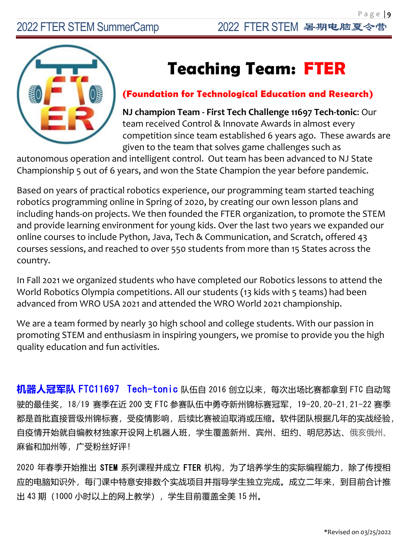# **Teaching Team: FTER**

#### **(Foundation for Technological Education and Research)**

**NJ champion Team - First Tech Challenge 11697 Tech-tonic**: Our team received Control & Innovate Awards in almost every competition since team established 6 years ago. These awards are given to the team that solves game challenges such as

autonomous operation and intelligent control. Out team has been advanced to NJ State Championship 5 out of 6 years, and won the State Champion the year before pandemic.

Based on years of practical robotics experience, our programming team started teaching robotics programming online in Spring of 2020, by creating our own lesson plans and including hands-on projects. We then founded the FTER organization, to promote the STEM and provide learning environment for young kids. Over the last two years we expanded our online courses to include Python, Java, Tech & Communication, and Scratch, offered 43 courses sessions, and reached to over 550 students from more than 15 States across the country.

In Fall 2021 we organized students who have completed our Robotics lessons to attend the World Robotics Olympia competitions. All our students (13 kids with 5 teams) had been advanced from WRO USA 2021 and attended the WRO World 2021 championship.

We are a team formed by nearly 30 high school and college students. With our passion in promoting STEM and enthusiasm in inspiring youngers, we promise to provide you the high quality education and fun activities.

**机器人冠军队** FTC11697 Tech-tonic 队伍自 2016 创立以来,每次出场比赛都拿到 FTC 自动驾 驶的最佳奖,18/19 赛季在近 200 支 FTC 参赛队伍中勇夺新州锦标赛冠军,19-20,20-21,21-22 赛季 都是首批直接晋级州锦标赛,受疫情影响,后续比赛被迫取消或压缩。软件团队根据几年的实战经验, 自疫情开始就自编教材独家开设网上机器人班,学生覆盖新州、宾州、纽约、明尼苏达、俄亥俄州、 麻省和加州等,广受粉丝好评!

2020 年春季开始推出 STEM 系列课程并成立 FTER 机构, 为了培养学生的实际编程能力, 除了传授相 应的电脑知识外,每门课中特意安排数个实战项目并指导学生独立完成。成立二年来,到目前合计推 出 43 期 (1000 小时以上的网上教学), 学生目前覆盖全美 15 州。